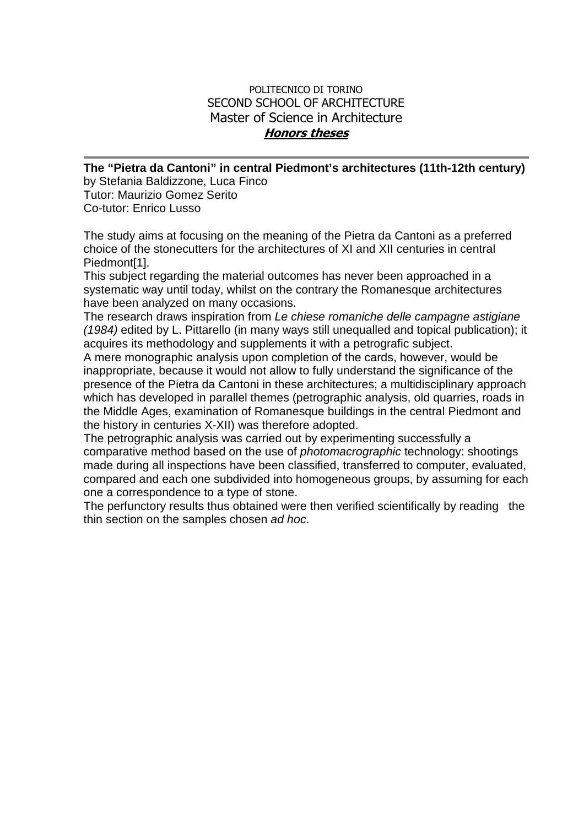## POLITECNICO DI TORINO SECOND SCHOOL OF ARCHITECTURE Master of Science in Architecture **Honors theses**

**The "Pietra da Cantoni" in central Piedmont's architectures (11th-12th century)**  by Stefania Baldizzone, Luca Finco Tutor: Maurizio Gomez Serito Co-tutor: Enrico Lusso

The study aims at focusing on the meaning of the Pietra da Cantoni as a preferred choice of the stonecutters for the architectures of XI and XII centuries in central Piedmont[1].

This subject regarding the material outcomes has never been approached in a systematic way until today, whilst on the contrary the Romanesque architectures have been analyzed on many occasions.

The research draws inspiration from Le chiese romaniche delle campagne astigiane (1984) edited by L. Pittarello (in many ways still unequalled and topical publication); it acquires its methodology and supplements it with a petrografic subject.

A mere monographic analysis upon completion of the cards, however, would be inappropriate, because it would not allow to fully understand the significance of the presence of the Pietra da Cantoni in these architectures; a multidisciplinary approach which has developed in parallel themes (petrographic analysis, old quarries, roads in the Middle Ages, examination of Romanesque buildings in the central Piedmont and the history in centuries X-XII) was therefore adopted.

The petrographic analysis was carried out by experimenting successfully a comparative method based on the use of photomacrographic technology: shootings made during all inspections have been classified, transferred to computer, evaluated, compared and each one subdivided into homogeneous groups, by assuming for each one a correspondence to a type of stone.

The perfunctory results thus obtained were then verified scientifically by reading the thin section on the samples chosen ad hoc.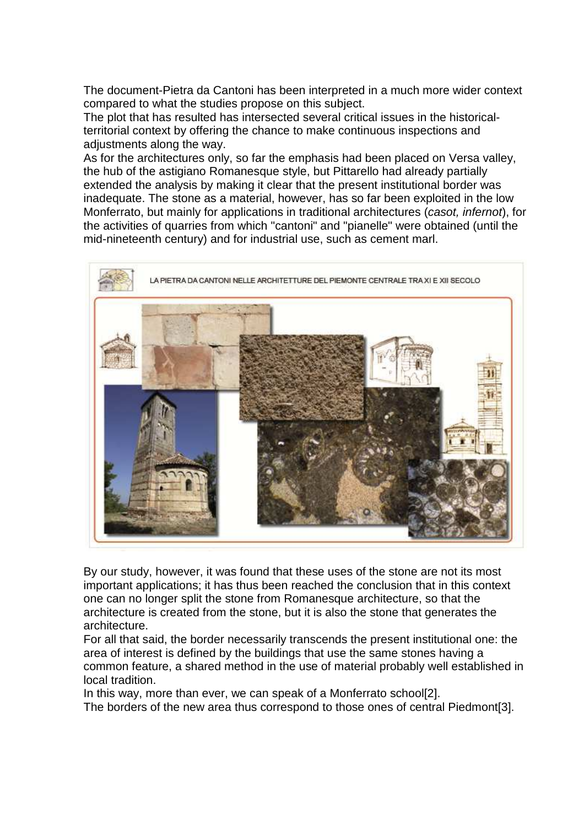The document-Pietra da Cantoni has been interpreted in a much more wider context compared to what the studies propose on this subject.

The plot that has resulted has intersected several critical issues in the historicalterritorial context by offering the chance to make continuous inspections and adjustments along the way.

As for the architectures only, so far the emphasis had been placed on Versa valley, the hub of the astigiano Romanesque style, but Pittarello had already partially extended the analysis by making it clear that the present institutional border was inadequate. The stone as a material, however, has so far been exploited in the low Monferrato, but mainly for applications in traditional architectures (casot, infernot), for the activities of quarries from which "cantoni" and "pianelle" were obtained (until the mid-nineteenth century) and for industrial use, such as cement marl.



By our study, however, it was found that these uses of the stone are not its most important applications; it has thus been reached the conclusion that in this context one can no longer split the stone from Romanesque architecture, so that the architecture is created from the stone, but it is also the stone that generates the architecture.

For all that said, the border necessarily transcends the present institutional one: the area of interest is defined by the buildings that use the same stones having a common feature, a shared method in the use of material probably well established in local tradition.

In this way, more than ever, we can speak of a Monferrato school[2].

The borders of the new area thus correspond to those ones of central Piedmont[3].